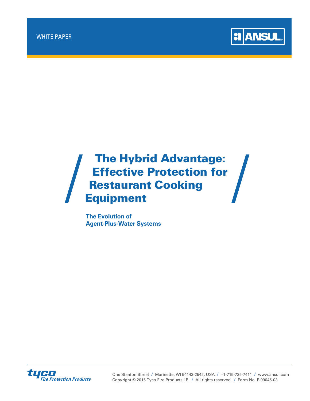

# The Hybrid Advantage: Effective Protection for **Restaurant Cooking** Equipment

**The Evolution of Agent-Plus-Water Systems**



One Stanton Street **/** Marinette, WI 54143-2542, USA **/** +1-715-735-7411 **/** www.ansul.com Copyright © 2015 Tyco Fire Products LP. **/** All rights reserved. **/** Form No. F-99045-03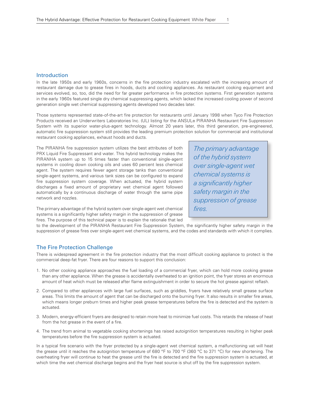# Introduction

In the late 1950s and early 1960s, concerns in the fire protection industry escalated with the increasing amount of restaurant damage due to grease fires in hoods, ducts and cooking appliances. As restaurant cooking equipment and services evolved, so, too, did the need for far greater performance in fire protection systems. First generation systems in the early 1960s featured single dry chemical suppressing agents, which lacked the increased cooling power of second generation single wet chemical suppressing agents developed two decades later.

Those systems represented state-of-the-art fire protection for restaurants until January 1998 when Tyco Fire Protection Products received an Underwriters Laboratories Inc. (UL) listing for the ANSUL® PIRANHA Restaurant Fire Suppression System with its superior water-plus-agent technology. Almost 20 years later, this third generation, pre-engineered, automatic fire suppression system still provides the leading premium protection solution for commercial and institutional restaurant cooking appliances, exhaust hoods and ducts.

The PIRANHA fire suppression system utilizes the best attributes of both PRX Liquid Fire Suppressant and water. This hybrid technology makes the PIRANHA system up to 15 times faster than conventional single-agent systems in cooling down cooking oils and uses 60 percent less chemical agent. The system requires fewer agent storage tanks than conventional single-agent systems, and various tank sizes can be configured to expand fire suppression system coverage. When actuated, the hybrid system discharges a fixed amount of proprietary wet chemical agent followed automatically by a continuous discharge of water through the same pipe network and nozzles.

The primary advantage of the hybrid system over single-agent wet chemical systems is a significantly higher safety margin in the suppression of grease fires.

The primary advantage of the hybrid system over single-agent wet chemical systems is a significantly higher safety margin in the suppression of grease fires. The purpose of this technical paper is to explain the rationale that led

to the development of the PIRANHA Restaurant Fire Suppression System, the significantly higher safety margin in the suppression of grease fires over single-agent wet chemical systems, and the codes and standards with which it complies.

# The Fire Protection Challenge

There is widespread agreement in the fire protection industry that the most difficult cooking appliance to protect is the commercial deep-fat fryer. There are four reasons to support this conclusion:

- 1. No other cooking appliance approaches the fuel loading of a commercial fryer, which can hold more cooking grease than any other appliance. When the grease is accidentally overheated to an ignition point, the fryer stores an enormous amount of heat which must be released after flame extinguishment in order to secure the hot grease against reflash.
- 2. Compared to other appliances with large fuel surfaces, such as griddles, fryers have relatively small grease surface areas. This limits the amount of agent that can be discharged onto the burning fryer. It also results in smaller fire areas, which means longer preburn times and higher peak grease temperatures before the fire is detected and the system is actuated.
- 3. Modern, energy-efficient fryers are designed to retain more heat to minimize fuel costs. This retards the release of heat from the hot grease in the event of a fire.
- 4. The trend from animal to vegetable cooking shortenings has raised autoignition temperatures resulting in higher peak temperatures before the fire suppression system is actuated.

In a typical fire scenario with the fryer protected by a single-agent wet chemical system, a malfunctioning vat will heat the grease until it reaches the autoignition temperature of 680 °F to 700 °F (360 °C to 371 °C) for new shortening. The overheating fryer will continue to heat the grease until the fire is detected and the fire suppression system is actuated, at which time the wet chemical discharge begins and the fryer heat source is shut off by the fire suppression system.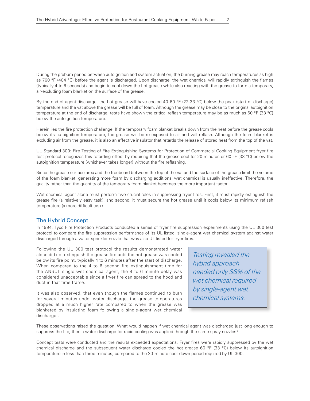During the preburn period between autoignition and system actuation, the burning grease may reach temperatures as high as 760 °F (404 °C) before the agent is discharged. Upon discharge, the wet chemical will rapidly extinguish the flames (typically 4 to 6 seconds) and begin to cool down the hot grease while also reacting with the grease to form a temporary, air-excluding foam blanket on the surface of the grease.

By the end of agent discharge, the hot grease will have cooled 40-60 °F (22-33 °C) below the peak (start of discharge) temperature and the vat above the grease will be full of foam. Although the grease may be close to the original autoignition temperature at the end of discharge, tests have shown the critical reflash temperature may be as much as 60 °F (33 °C) below the autoignition temperature.

Herein lies the fire protection challenge: If the temporary foam blanket breaks down from the heat before the grease cools below its autoignition temperature, the grease will be re-exposed to air and will reflash. Although the foam blanket is excluding air from the grease, it is also an effective insulator that retards the release of stored heat from the top of the vat.

UL Standard 300: Fire Testing of Fire Extinguishing Systems for Protection of Commercial Cooking Equipment fryer fire test protocol recognizes this retarding effect by requiring that the grease cool for 20 minutes or 60 °F (33 °C) below the autoignition temperature (whichever takes longer) without the fire reflashing.

Since the grease surface area and the freeboard between the top of the vat and the surface of the grease limit the volume of the foam blanket, generating more foam by discharging additional wet chemical is usually ineffective. Therefore, the quality rather than the quantity of the temporary foam blanket becomes the more important factor.

Wet chemical agent alone must perform two crucial roles in suppressing fryer fires. First, it must rapidly extinguish the grease fire (a relatively easy task); and second, it must secure the hot grease until it cools below its minimum reflash temperature (a more difficult task).

# The Hybrid Concept

In 1994, Tyco Fire Protection Products conducted a series of fryer fire suppression experiments using the UL 300 test protocol to compare the fire suppression performance of its UL listed, single-agent wet chemical system against water discharged through a water sprinkler nozzle that was also UL listed for fryer fires.

Following the UL 300 test protocol the results demonstrated water alone did not extinguish the grease fire until the hot grease was cooled below its fire point, typically 4 to 6 minutes after the start of discharge. When compared to the 4 to 6 second fire extinguishment time for the ANSUL single wet chemical agent, the 4 to 6 minute delay was considered unacceptable since a fryer fire can spread to the hood and duct in that time frame.

It was also observed, that even though the flames continued to burn for several minutes under water discharge, the grease temperatures dropped at a much higher rate compared to when the grease was blanketed by insulating foam following a single-agent wet chemical discharge .

Testing revealed the hybrid approach needed only 38% of the wet chemical required by single-agent wet chemical systems.

These observations raised the question: What would happen if wet chemical agent was discharged just long enough to suppress the fire, then a water discharge for rapid cooling was applied through the same spray nozzles?

Concept tests were conducted and the results exceeded expectations. Fryer fires were rapidly suppressed by the wet chemical discharge and the subsequent water discharge cooled the hot grease 60 °F (33 °C) below its autoignition temperature in less than three minutes, compared to the 20-minute cool-down period required by UL 300.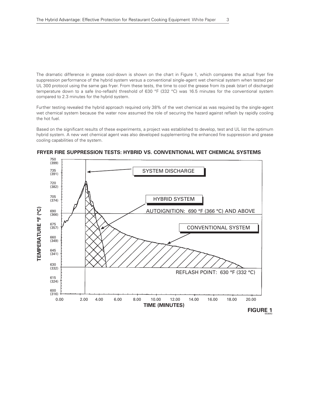The dramatic difference in grease cool-down is shown on the chart in Figure 1, which compares the actual fryer fire suppression performance of the hybrid system versus a conventional single-agent wet chemical system when tested per UL 300 protocol using the same gas fryer. From these tests, the time to cool the grease from its peak (start of discharge) temperature down to a safe (no-reflash) threshold of 630 °F (332 °C) was 16.5 minutes for the conventional system compared to 2.3 minutes for the hybrid system.

Further testing revealed the hybrid approach required only 38% of the wet chemical as was required by the single-agent wet chemical system because the water now assumed the role of securing the hazard against reflash by rapidly cooling the hot fuel.

Based on the significant results of these experiments, a project was established to develop, test and UL list the optimum hybrid system. A new wet chemical agent was also developed supplementing the enhanced fire suppression and grease cooling capabilities of the system.



#### **FRYER FIRE SUPPRESSION TESTS: HYBRID VS. CONVENTIONAL WET CHEMICAL SYSTEMS**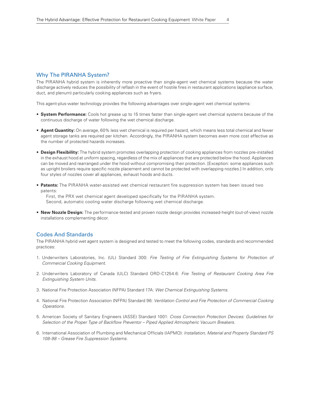# Why The PIRANHA System?

The PIRANHA hybrid system is inherently more proactive than single-agent wet chemical systems because the water discharge actively reduces the possibility of reflash in the event of hostile fires in restaurant applications (appliance surface, duct, and plenum) particularly cooking appliances such as fryers.

This agent-plus-water technology provides the following advantages over single-agent wet chemical systems:

- **System Performance:** Cools hot grease up to 15 times faster than single-agent wet chemical systems because of the continuous discharge of water following the wet chemical discharge.
- **Agent Quantity:** On average, 60% less wet chemical is required per hazard, which means less total chemical and fewer agent storage tanks are required per kitchen. Accordingly, the PIRANHA system becomes even more cost effective as the number of protected hazards increases.
- **Design Flexibility:** The hybrid system promotes overlapping protection of cooking appliances from nozzles pre-installed in the exhaust hood at uniform spacing, regardless of the mix of appliances that are protected below the hood. Appliances can be moved and rearranged under the hood without compromising their protection. [Exception: some appliances such as upright broilers require specific nozzle placement and cannot be protected with overlapping nozzles.] In addition, only four styles of nozzles cover all appliances, exhaust hoods and ducts.
- **Patents:** The PIRANHA water-assisted wet chemical restaurant fire suppression system has been issued two patents:

First, the PRX wet chemical agent developed specifically for the PIRANHA system. Second, automatic cooling water discharge following wet chemical discharge.

• **New Nozzle Design:** The performance-tested and proven nozzle design provides increased-height (out-of-view) nozzle installations complementing décor.

#### Codes And Standards

The PIRANHA hybrid wet agent system is designed and tested to meet the following codes, standards and recommended practices:

- 1. Underwriters Laboratories, Inc. (UL) Standard 300: *Fire Testing of Fire Extinguishing Systems for Protection of Commercial Cooking Equipment.*
- 2. Underwriters Laboratory of Canada (ULC) Standard ORD-C1254.6: *Fire Testing of Restaurant Cooking Area Fire Extinguishing System Units.*
- 3. National Fire Protection Association (NFPA) Standard 17A: *Wet Chemical Extinguishing Systems.*
- 4. National Fire Protection Association (NFPA) Standard 96: *Ventilation Control and Fire Protection of Commercial Cooking Operations.*
- 5. American Society of Sanitary Engineers (ASSE) Standard 1001: *Cross Connection Protection Devices: Guidelines for Selection of the Proper Type of Backflow Preventor – Piped Applied Atmospheric Vacuum Breakers.*
- 6. International Association of Plumbing and Mechanical Officials (IAPMO): *Installation, Material and Property Standard PS 108-98 – Grease Fire Suppression Systems.*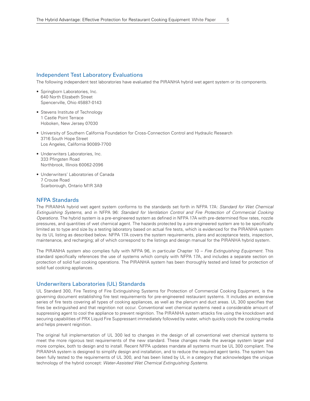# Independent Test Laboratory Evaluations

The following independent test laboratories have evaluated the PIRANHA hybrid wet agent system or its components.

- Springborn Laboratories, Inc. 640 North Elizabeth Street Spencerville, Ohio 45887-0143
- Stevens Institute of Technology 1 Castle Point Terrace Hoboken, New Jersey 07030
- University of Southern California Foundation for Cross-Connection Control and Hydraulic Research 3716 South Hope Street Los Angeles, California 90089-7700
- Underwriters Laboratories, Inc. 333 Pfingsten Road Northbrook, Illinois 60062-2096
- Underwriters' Laboratories of Canada 7 Crouse Road Scarborough, Ontario M1R 3A9

#### NFPA Standards

The PIRANHA hybrid wet agent system conforms to the standards set forth in NFPA 17A: *Standard for Wet Chemical Extinguishing Systems,* and in NFPA 96: *Standard for Ventilation Control and Fire Protection of Commercial Cooking Operations.* The hybrid system is a pre-engineered system as defined in NFPA 17A with pre-determined flow rates, nozzle pressures, and quantities of wet chemical agent. The hazards protected by a pre-engineered system are to be specifically limited as to type and size by a testing laboratory based on actual fire tests, which is evidenced for the PIRANHA system by its UL listing as described below. NFPA 17A covers the system requirements, plans and acceptance tests, inspection, maintenance, and recharging; all of which correspond to the listings and design manual for the PIRANHA hybrid system.

The PIRANHA system also complies fully with NFPA 96, in particular Chapter 10 – *Fire Extinguishing Equipment*. This standard specifically references the use of systems which comply with NFPA 17A, and includes a separate section on protection of solid fuel cooking operations. The PIRANHA system has been thoroughly tested and listed for protection of solid fuel cooking appliances.

#### Underwriters Laboratories (UL) Standards

UL Standard 300, Fire Testing of Fire Extinguishing Systems for Protection of Commercial Cooking Equipment, is the governing document establishing fire test requirements for pre-engineered restaurant systems. It includes an extensive series of fire tests covering all types of cooking appliances, as well as the plenum and duct areas. UL 300 specifies that fires be extinguished and that reignition not occur. Conventional wet chemical systems need a considerable amount of suppressing agent to cool the appliance to prevent reignition. The PIRANHA system attacks fire using the knockdown and securing capabilities of PRX Liquid Fire Suppressant immediately followed by water, which quickly cools the cooking media and helps prevent reignition.

The original full implementation of UL 300 led to changes in the design of all conventional wet chemical systems to meet the more rigorous test requirements of the new standard. These changes made the average system larger and more complex, both to design and to install. Recent NFPA updates mandate all systems must be UL 300 compliant. The PIRANHA system is designed to simplify design and installation, and to reduce the required agent tanks. The system has been fully tested to the requirements of UL 300, and has been listed by UL in a category that acknowledges the unique technology of the hybrid concept: *Water-Assisted Wet Chemical Extinguishing Systems.*